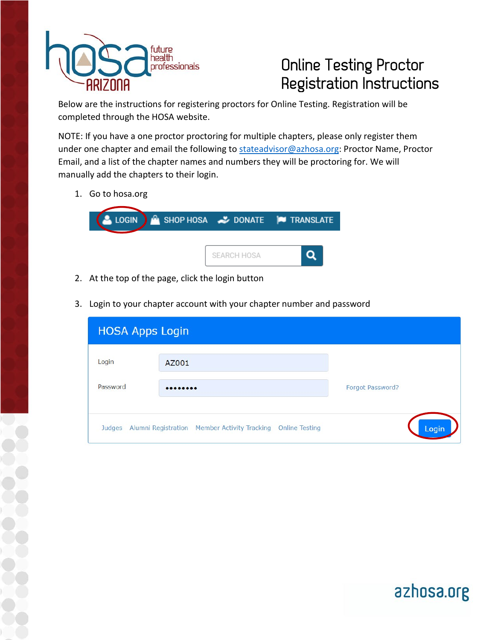

## Online Testing Proctor Registration Instructions

azhosa.org

Below are the instructions for registering proctors for Online Testing. Registration will be completed through the HOSA website.

NOTE: If you have a one proctor proctoring for multiple chapters, please only register them under one chapter and email the following to [stateadvisor@azhosa.org:](mailto:stateadvisor@azhosa.org) Proctor Name, Proctor Email, and a list of the chapter names and numbers they will be proctoring for. We will manually add the chapters to their login.

1. Go to hosa.org



- 2. At the top of the page, click the login button
- 3. Login to your chapter account with your chapter number and password

| <b>HOSA Apps Login</b> |                                                                       |                  |
|------------------------|-----------------------------------------------------------------------|------------------|
| Login                  | AZ001                                                                 |                  |
| Password               |                                                                       | Forgot Password? |
| Judges                 | Alumni Registration Member Activity Tracking<br><b>Online Testing</b> | Login            |